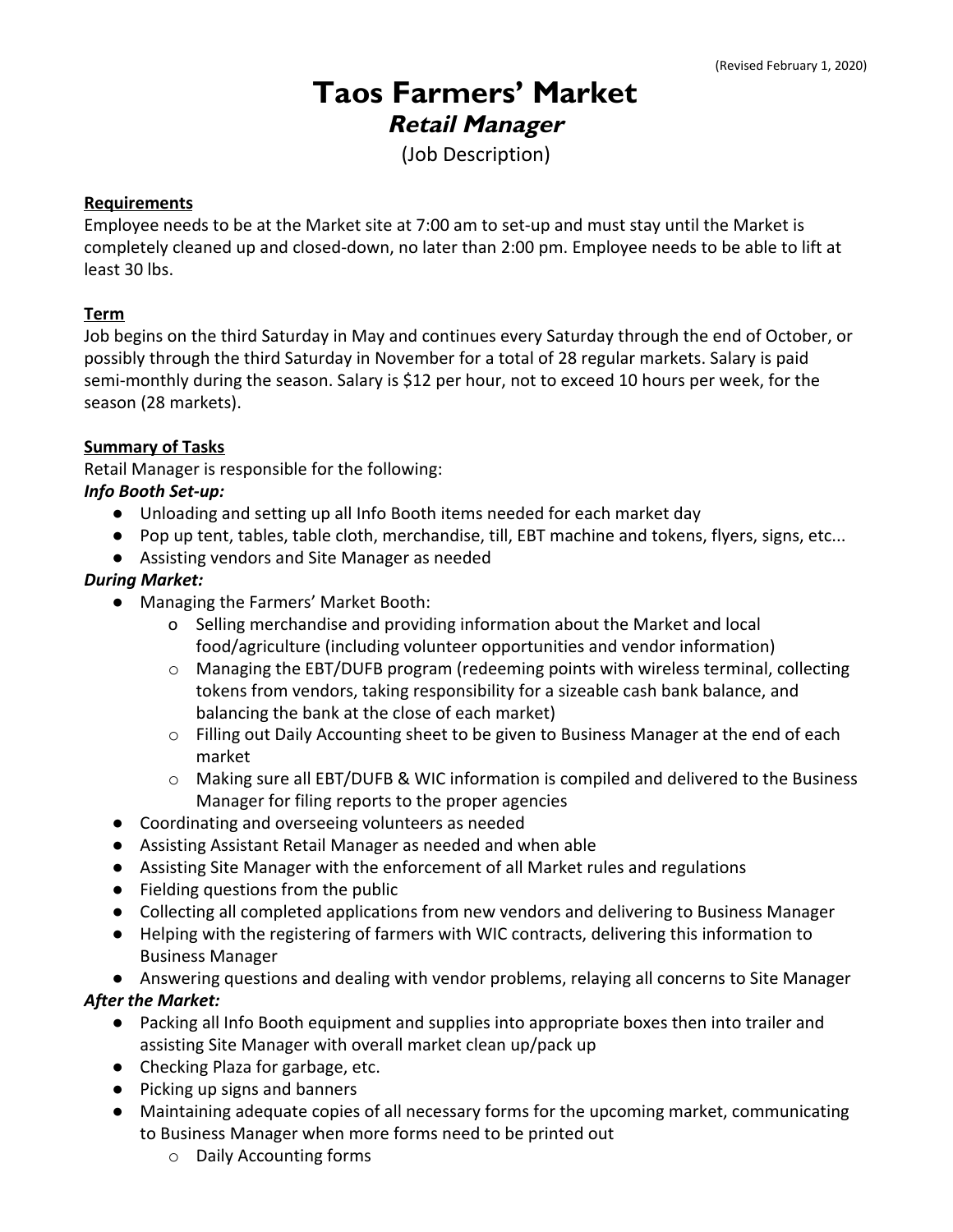# **Taos Farmers' Market Retail Manager**

(Job Description)

#### **Requirements**

Employee needs to be at the Market site at 7:00 am to set-up and must stay until the Market is completely cleaned up and closed-down, no later than 2:00 pm. Employee needs to be able to lift at least 30 lbs.

## **Term**

Job begins on the third Saturday in May and continues every Saturday through the end of October, or possibly through the third Saturday in November for a total of 28 regular markets. Salary is paid semi-monthly during the season. Salary is \$12 per hour, not to exceed 10 hours per week, for the season (28 markets).

## **Summary of Tasks**

Retail Manager is responsible for the following:

## *Info Booth Set-up:*

- Unloading and setting up all Info Booth items needed for each market day
- Pop up tent, tables, table cloth, merchandise, till, EBT machine and tokens, flyers, signs, etc...
- Assisting vendors and Site Manager as needed

# *During Market:*

- *●* Managing the Farmers' Market Booth:
	- o Selling merchandise and providing information about the Market and local food/agriculture (including volunteer opportunities and vendor information)
	- o Managing the EBT/DUFB program (redeeming points with wireless terminal, collecting tokens from vendors, taking responsibility for a sizeable cash bank balance, and balancing the bank at the close of each market)
	- o Filling out Daily Accounting sheet to be given to Business Manager at the end of each market
	- o Making sure all EBT/DUFB & WIC information is compiled and delivered to the Business Manager for filing reports to the proper agencies
- *●* Coordinating and overseeing volunteers as needed
- Assisting Assistant Retail Manager as needed and when able
- *●* Assisting Site Manager with the enforcement of all Market rules and regulations
- *●* Fielding questions from the public
- *●* Collecting all completed applications from new vendors and delivering to Business Manager
- *●* Helping with the registering of farmers with WIC contracts, delivering this information to Business Manager
- *●* Answering questions and dealing with vendor problems, relaying all concerns to Site Manager

# *After the Market:*

- Packing all Info Booth equipment and supplies into appropriate boxes then into trailer and assisting Site Manager with overall market clean up/pack up
- Checking Plaza for garbage, etc.
- Picking up signs and banners
- Maintaining adequate copies of all necessary forms for the upcoming market, communicating to Business Manager when more forms need to be printed out
	- o Daily Accounting forms